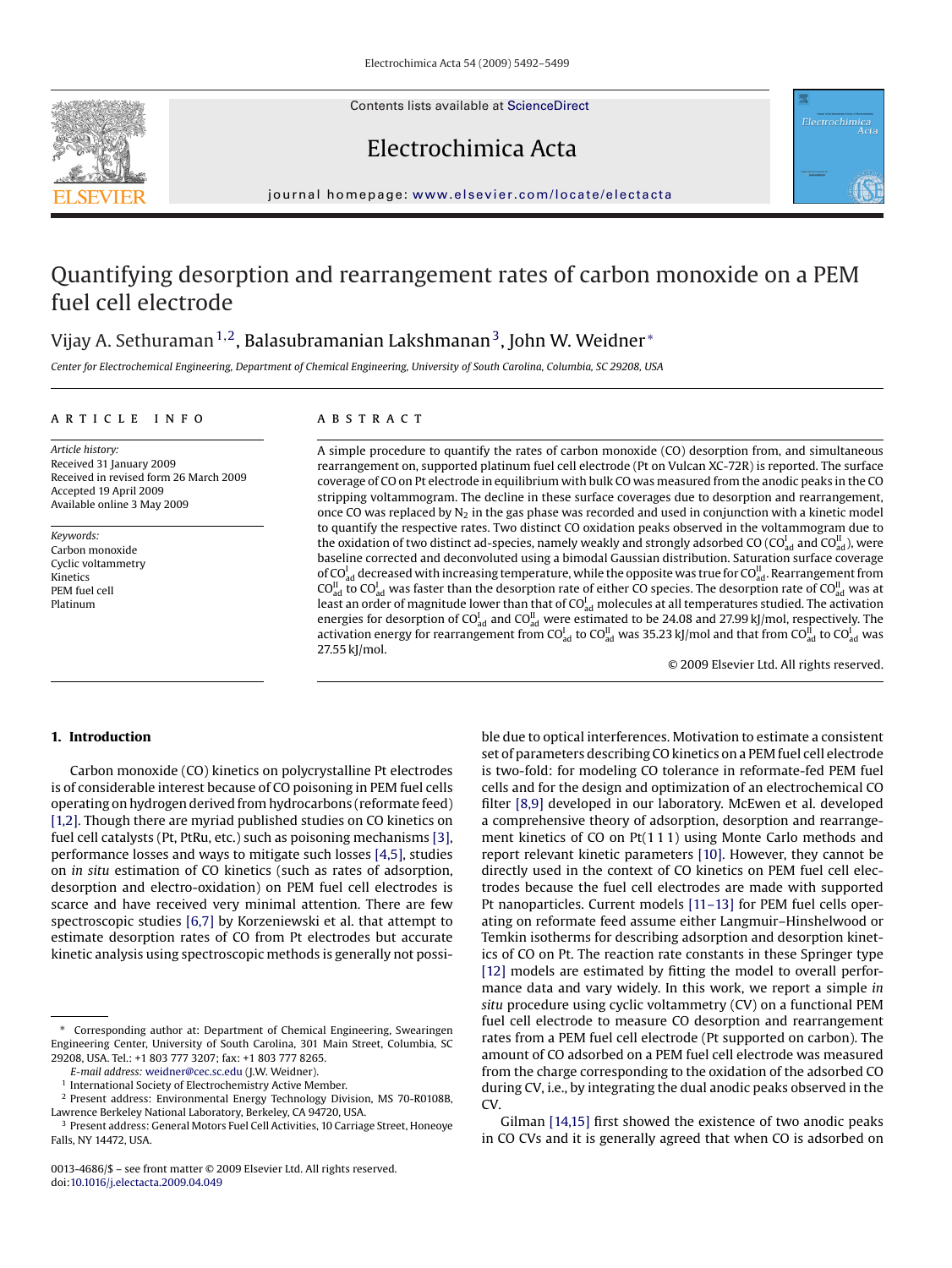Contents lists available at [ScienceDirect](http://www.sciencedirect.com/science/journal/00134686)





# Electrochimica Acta

journal homepage: [www.elsevier.com/locate/electacta](http://www.elsevier.com/locate/electacta)

# Quantifying desorption and rearrangement rates of carbon monoxide on a PEM fuel cell electrode

# Vijay A. Sethuraman<sup>1,2</sup>, Balasubramanian Lakshmanan<sup>3</sup>, John W. Weidner <sup>\*</sup>

*Center for Electrochemical Engineering, Department of Chemical Engineering, University of South Carolina, Columbia, SC 29208, USA*

# article info

*Article history:* Received 31 January 2009 Received in revised form 26 March 2009 Accepted 19 April 2009 Available online 3 May 2009

*Keywords:* Carbon monoxide Cyclic voltammetry Kinetics PEM fuel cell Platinum

# **ABSTRACT**

A simple procedure to quantify the rates of carbon monoxide (CO) desorption from, and simultaneous rearrangement on, supported platinum fuel cell electrode (Pt on Vulcan XC-72R) is reported. The surface coverage of CO on Pt electrode in equilibrium with bulk CO was measured from the anodic peaks in the CO stripping voltammogram. The decline in these surface coverages due to desorption and rearrangement, once CO was replaced by  $N_2$  in the gas phase was recorded and used in conjunction with a kinetic model to quantify the respective rates. Two distinct CO oxidation peaks observed in the voltammogram due to the oxidation of two distinct ad-species, namely weakly and strongly adsorbed CO (CO $_{\sf ad}^{\rm l}$  and CO $_{\sf ad}^{\rm ll}$  ), were baseline corrected and deconvoluted using a bimodal Gaussian distribution. Saturation surface coverage of CO $_{\rm ad}^{\rm I}$  decreased with increasing temperature, while the opposite was true for CO $_{\rm ad}^{\rm II}$ . Rearrangement from CO $_{\rm ad}^{\rm II}$  to CO $_{\rm ad}^{\rm I}$  was faster than the desorption rate of either CO species. The desorption rate of CO $_{\rm ad}^{\rm II}$  was at least an order of magnitude lower than that of CO $_{\rm ad}^{\rm I}$  molecules at all temperatures studied. The activation energies for desorption of CO $_{\rm ad}^{\rm I}$  and CO $_{\rm ad}^{\rm II}$  were estimated to be 24.08 and 27.99 kJ/mol, respectively. The activation energy for rearrangement from CO $_{\rm ad}^{\rm I}$  to CO $_{\rm ad}^{\rm II}$  was 35.23 kJ/mol and that from CO $_{\rm ad}^{\rm II}$  to CO $_{\rm ad}^{\rm I}$  was 27.55 kJ/mol.

© 2009 Elsevier Ltd. All rights reserved.

# **1. Introduction**

Carbon monoxide (CO) kinetics on polycrystalline Pt electrodes is of considerable interest because of CO poisoning in PEM fuel cells operating on hydrogen derived from hydrocarbons (reformate feed) [\[1,2\]. T](#page-6-0)hough there are myriad published studies on CO kinetics on fuel cell catalysts (Pt, PtRu, etc.) such as poisoning mechanisms [\[3\],](#page-6-0) performance losses and ways to mitigate such losses [\[4,5\], s](#page-6-0)tudies on *in situ* estimation of CO kinetics (such as rates of adsorption, desorption and electro-oxidation) on PEM fuel cell electrodes is scarce and have received very minimal attention. There are few spectroscopic studies [\[6,7\]](#page-6-0) by Korzeniewski et al. that attempt to estimate desorption rates of CO from Pt electrodes but accurate kinetic analysis using spectroscopic methods is generally not possi-

ble due to optical interferences. Motivation to estimate a consistent set of parameters describing CO kinetics on a PEM fuel cell electrode is two-fold: for modeling CO tolerance in reformate-fed PEM fuel cells and for the design and optimization of an electrochemical CO filter [\[8,9\]](#page-6-0) developed in our laboratory. McEwen et al. developed a comprehensive theory of adsorption, desorption and rearrangement kinetics of CO on Pt(1 1 1) using Monte Carlo methods and report relevant kinetic parameters [\[10\]. H](#page-6-0)owever, they cannot be directly used in the context of CO kinetics on PEM fuel cell electrodes because the fuel cell electrodes are made with supported Pt nanoparticles. Current models [\[11–13\]](#page-6-0) for PEM fuel cells operating on reformate feed assume either Langmuir–Hinshelwood or Temkin isotherms for describing adsorption and desorption kinetics of CO on Pt. The reaction rate constants in these Springer type [\[12\]](#page-6-0) models are estimated by fitting the model to overall performance data and vary widely. In this work, we report a simple *in situ* procedure using cyclic voltammetry (CV) on a functional PEM fuel cell electrode to measure CO desorption and rearrangement rates from a PEM fuel cell electrode (Pt supported on carbon). The amount of CO adsorbed on a PEM fuel cell electrode was measured from the charge corresponding to the oxidation of the adsorbed CO during CV, i.e., by integrating the dual anodic peaks observed in the CV.

Gilman [\[14,15\]](#page-6-0) first showed the existence of two anodic peaks in CO CVs and it is generally agreed that when CO is adsorbed on

Corresponding author at: Department of Chemical Engineering, Swearingen Engineering Center, University of South Carolina, 301 Main Street, Columbia, SC 29208, USA. Tel.: +1 803 777 3207; fax: +1 803 777 8265.

*E-mail address:* [weidner@cec.sc.edu](mailto:weidner@cec.sc.edu) (J.W. Weidner).

<sup>1</sup> International Society of Electrochemistry Active Member.

<sup>2</sup> Present address: Environmental Energy Technology Division, MS 70-R0108B, Lawrence Berkeley National Laboratory, Berkeley, CA 94720, USA.

<sup>&</sup>lt;sup>3</sup> Present address: General Motors Fuel Cell Activities, 10 Carriage Street, Honeoye Falls, NY 14472, USA.

<sup>0013-4686/\$ –</sup> see front matter © 2009 Elsevier Ltd. All rights reserved. doi:[10.1016/j.electacta.2009.04.049](dx.doi.org/10.1016/j.electacta.2009.04.049)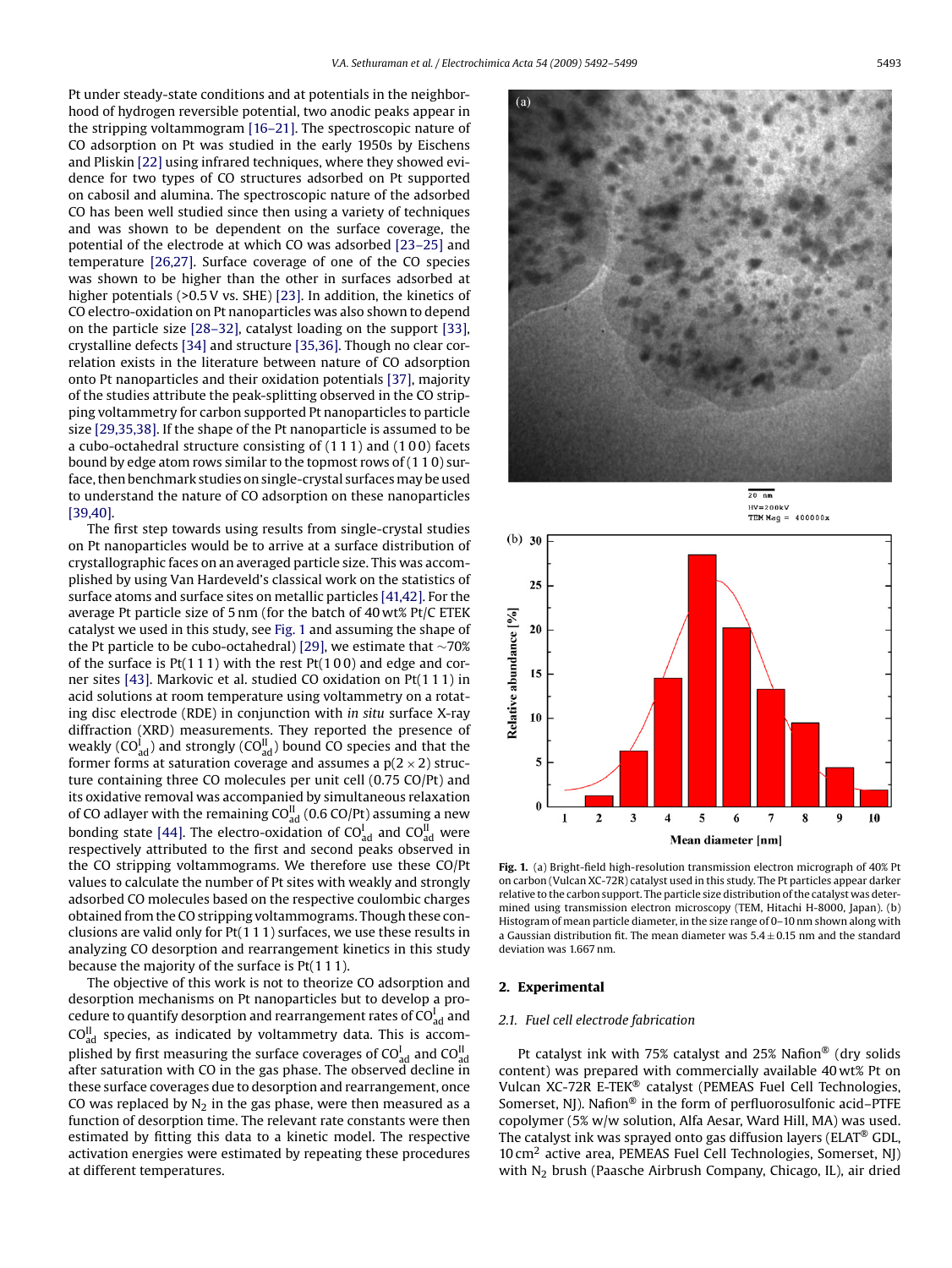Pt under steady-state conditions and at potentials in the neighborhood of hydrogen reversible potential, two anodic peaks appear in the stripping voltammogram [\[16–21\]. T](#page-6-0)he spectroscopic nature of CO adsorption on Pt was studied in the early 1950s by Eischens and Pliskin [\[22\]](#page-7-0) using infrared techniques, where they showed evidence for two types of CO structures adsorbed on Pt supported on cabosil and alumina. The spectroscopic nature of the adsorbed CO has been well studied since then using a variety of techniques and was shown to be dependent on the surface coverage, the potential of the electrode at which CO was adsorbed [\[23–25\]](#page-7-0) and temperature [\[26,27\].](#page-7-0) Surface coverage of one of the CO species was shown to be higher than the other in surfaces adsorbed at higher potentials (>0.5 V vs. SHE) [\[23\]. I](#page-7-0)n addition, the kinetics of CO electro-oxidation on Pt nanoparticles was also shown to depend on the particle size [\[28–32\], c](#page-7-0)atalyst loading on the support [\[33\],](#page-7-0) crystalline defects [\[34\]](#page-7-0) and structure [\[35,36\]. T](#page-7-0)hough no clear correlation exists in the literature between nature of CO adsorption onto Pt nanoparticles and their oxidation potentials [\[37\], m](#page-7-0)ajority of the studies attribute the peak-splitting observed in the CO stripping voltammetry for carbon supported Pt nanoparticles to particle size [\[29,35,38\]. I](#page-7-0)f the shape of the Pt nanoparticle is assumed to be a cubo-octahedral structure consisting of (1 1 1) and (1 0 0) facets bound by edge atom rows similar to the topmost rows of (1 1 0) surface, then benchmark studies on single-crystal surfacesmay be used to understand the nature of CO adsorption on these nanoparticles [\[39,40\].](#page-7-0)

The first step towards using results from single-crystal studies on Pt nanoparticles would be to arrive at a surface distribution of crystallographic faces on an averaged particle size. This was accomplished by using Van Hardeveld's classical work on the statistics of surface atoms and surface sites on metallic particles [\[41,42\]. F](#page-7-0)or the average Pt particle size of 5 nm (for the batch of 40 wt% Pt/C ETEK catalyst we used in this study, see Fig. 1 and assuming the shape of the Pt particle to be cubo-octahedral) [\[29\], w](#page-7-0)e estimate that ∼70% of the surface is  $Pt(111)$  with the rest  $Pt(100)$  and edge and corner sites [\[43\]. M](#page-7-0)arkovic et al. studied CO oxidation on Pt(1 1 1) in acid solutions at room temperature using voltammetry on a rotating disc electrode (RDE) in conjunction with *in situ* surface X-ray diffraction (XRD) measurements. They reported the presence of weakly (CO $_{\rm ad}^{\rm I}$ ) and strongly (CO $_{\rm ad}^{\rm II}$ ) bound CO species and that the former forms at saturation coverage and assumes a  $p(2 \times 2)$  structure containing three CO molecules per unit cell (0.75 CO/Pt) and its oxidative removal was accompanied by simultaneous relaxation of CO adlayer with the remaining CO $_{\text{ad}}^{\text{II}}$  (0.6 CO/Pt) assuming a new bonding state [\[44\].](#page-7-0) The electro-oxidation of CO $_{\text{ad}}^{\text{I}}$  and CO $_{\text{ad}}^{\text{II}}$  were respectively attributed to the first and second peaks observed in the CO stripping voltammograms. We therefore use these CO/Pt values to calculate the number of Pt sites with weakly and strongly adsorbed CO molecules based on the respective coulombic charges obtained from the CO stripping voltammograms. Though these conclusions are valid only for Pt(1 1 1) surfaces, we use these results in analyzing CO desorption and rearrangement kinetics in this study because the majority of the surface is Pt(1 1 1).

The objective of this work is not to theorize CO adsorption and desorption mechanisms on Pt nanoparticles but to develop a procedure to quantify desorption and rearrangement rates of  $CO_{ad}^I$  and  $CO<sup>II</sup><sub>ad</sub>$  species, as indicated by voltammetry data. This is accomplished by first measuring the surface coverages of CO $_{\rm ad}^{\rm I}$  and CO $_{\rm ad}^{\rm II}$ after saturation with CO in the gas phase. The observed decline in these surface coverages due to desorption and rearrangement, once CO was replaced by  $N_2$  in the gas phase, were then measured as a function of desorption time. The relevant rate constants were then estimated by fitting this data to a kinetic model. The respective activation energies were estimated by repeating these procedures at different temperatures.





**Fig. 1.** (a) Bright-field high-resolution transmission electron micrograph of 40% Pt on carbon (Vulcan XC-72R) catalyst used in this study. The Pt particles appear darker relative to the carbon support. The particle size distribution of the catalyst was determined using transmission electron microscopy (TEM, Hitachi H-8000, Japan). (b) Histogram of mean particle diameter, in the size range of 0–10 nm shown along with a Gaussian distribution fit. The mean diameter was  $5.4 + 0.15$  nm and the standard deviation was 1.667 nm.

## **2. Experimental**

## *2.1. Fuel cell electrode fabrication*

Pt catalyst ink with 75% catalyst and 25% Nafion® (dry solids content) was prepared with commercially available 40 wt% Pt on Vulcan XC-72R E-TEK® catalyst (PEMEAS Fuel Cell Technologies, Somerset, NJ). Nafion<sup>®</sup> in the form of perfluorosulfonic acid–PTFE copolymer (5% w/w solution, Alfa Aesar, Ward Hill, MA) was used. The catalyst ink was sprayed onto gas diffusion layers (ELAT® GDL, 10 cm2 active area, PEMEAS Fuel Cell Technologies, Somerset, NJ) with  $N_2$  brush (Paasche Airbrush Company, Chicago, IL), air dried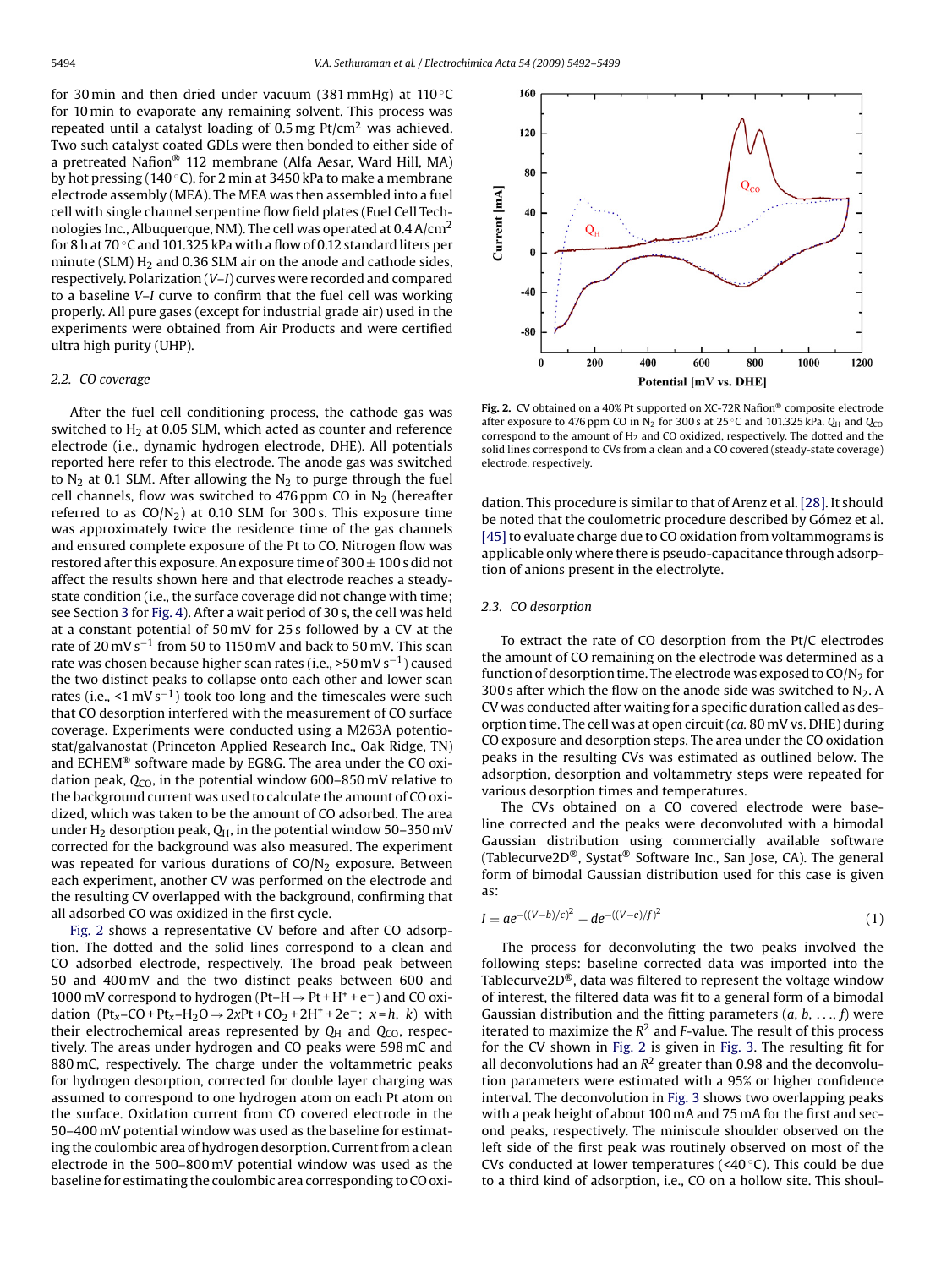<span id="page-2-0"></span>for 30 min and then dried under vacuum (381 mmHg) at 110  $\degree$ C for 10 min to evaporate any remaining solvent. This process was repeated until a catalyst loading of  $0.5$  mg Pt/cm<sup>2</sup> was achieved. Two such catalyst coated GDLs were then bonded to either side of a pretreated Nafion® 112 membrane (Alfa Aesar, Ward Hill, MA) by hot pressing (140 ◦C), for 2 min at 3450 kPa to make a membrane electrode assembly (MEA). The MEA was then assembled into a fuel cell with single channel serpentine flow field plates (Fuel Cell Technologies Inc., Albuquerque, NM). The cell was operated at  $0.4$  A/cm<sup>2</sup> for 8 h at 70 ◦C and 101.325 kPa with a flow of 0.12 standard liters per minute (SLM)  $H_2$  and 0.36 SLM air on the anode and cathode sides, respectively. Polarization (*V*–*I*) curves were recorded and compared to a baseline *V*–*I* curve to confirm that the fuel cell was working properly. All pure gases (except for industrial grade air) used in the experiments were obtained from Air Products and were certified ultra high purity (UHP).

# *2.2. CO coverage*

After the fuel cell conditioning process, the cathode gas was switched to  $H<sub>2</sub>$  at 0.05 SLM, which acted as counter and reference electrode (i.e., dynamic hydrogen electrode, DHE). All potentials reported here refer to this electrode. The anode gas was switched to  $N_2$  at 0.1 SLM. After allowing the  $N_2$  to purge through the fuel cell channels, flow was switched to 476 ppm CO in  $N_2$  (hereafter referred to as  $CO/N<sub>2</sub>$ ) at 0.10 SLM for 300 s. This exposure time was approximately twice the residence time of the gas channels and ensured complete exposure of the Pt to CO. Nitrogen flow was restored after this exposure. An exposure time of  $300 \pm 100$  s did not affect the results shown here and that electrode reaches a steadystate condition (i.e., the surface coverage did not change with time; see Section [3](#page-4-0) for [Fig. 4\).](#page-4-0) After a wait period of 30 s, the cell was held at a constant potential of 50 mV for 25 s followed by a CV at the rate of 20 mV s−<sup>1</sup> from 50 to 1150 mV and back to 50 mV. This scan rate was chosen because higher scan rates (i.e., >50 mV s<sup>-1</sup>) caused the two distinct peaks to collapse onto each other and lower scan rates (i.e., <1 mV s<sup>-1</sup>) took too long and the timescales were such that CO desorption interfered with the measurement of CO surface coverage. Experiments were conducted using a M263A potentiostat/galvanostat (Princeton Applied Research Inc., Oak Ridge, TN) and ECHEM® software made by EG&G. The area under the CO oxidation peak, Q<sub>CO</sub>, in the potential window 600-850 mV relative to the background current was used to calculate the amount of CO oxidized, which was taken to be the amount of CO adsorbed. The area under H<sub>2</sub> desorption peak,  $Q_H$ , in the potential window 50–350 mV corrected for the background was also measured. The experiment was repeated for various durations of  $CO/N<sub>2</sub>$  exposure. Between each experiment, another CV was performed on the electrode and the resulting CV overlapped with the background, confirming that all adsorbed CO was oxidized in the first cycle.

Fig. 2 shows a representative CV before and after CO adsorption. The dotted and the solid lines correspond to a clean and CO adsorbed electrode, respectively. The broad peak between 50 and 400 mV and the two distinct peaks between 600 and 1000 mV correspond to hydrogen (Pt–H→Pt + H<sup>+</sup> + e−) and CO oxidation (Pt<sub>*x*</sub>–CO + Pt<sub>*x*</sub>–H<sub>2</sub>O → 2*x*Pt + CO<sub>2</sub> + 2H<sup>+</sup> + 2e<sup>−</sup>; *x* = *h*, *k*) with their electrochemical areas represented by  $Q_H$  and  $Q_{CO}$ , respectively. The areas under hydrogen and CO peaks were 598 mC and 880 mC, respectively. The charge under the voltammetric peaks for hydrogen desorption, corrected for double layer charging was assumed to correspond to one hydrogen atom on each Pt atom on the surface. Oxidation current from CO covered electrode in the 50–400 mV potential window was used as the baseline for estimating the coulombic area of hydrogen desorption. Current from a clean electrode in the 500–800 mV potential window was used as the baseline for estimating the coulombic area corresponding to CO oxi-



**Fig. 2.** CV obtained on a 40% Pt supported on XC-72R Nafion® composite electrode after exposure to 476 ppm CO in N<sub>2</sub> for 300 s at 25 °C and 101.325 kPa.  $Q_H$  and  $Q_{CO}$ correspond to the amount of  $H_2$  and CO oxidized, respectively. The dotted and the solid lines correspond to CVs from a clean and a CO covered (steady-state coverage) electrode, respectively.

dation. This procedure is similar to that of Arenz et al. [\[28\]. I](#page-7-0)t should be noted that the coulometric procedure described by Gómez et al. [45] to evaluate charge due to CO oxidation from voltammograms is applicable only where there is pseudo-capacitance through adsorption of anions present in the electrolyte.

#### *2.3. CO desorption*

To extract the rate of CO desorption from the Pt/C electrodes the amount of CO remaining on the electrode was determined as a function of desorption time. The electrode was exposed to  $CO/N<sub>2</sub>$  for 300 s after which the flow on the anode side was switched to  $N_2$ . A CV was conducted after waiting for a specific duration called as desorption time. The cell was at open circuit (*ca.* 80 mV vs. DHE) during CO exposure and desorption steps. The area under the CO oxidation peaks in the resulting CVs was estimated as outlined below. The adsorption, desorption and voltammetry steps were repeated for various desorption times and temperatures.

The CVs obtained on a CO covered electrode were baseline corrected and the peaks were deconvoluted with a bimodal Gaussian distribution using commercially available software (Tablecurve2D®, Systat® Software Inc., San Jose, CA). The general form of bimodal Gaussian distribution used for this case is given as:

$$
I = ae^{-((V-b)/c)^2} + de^{-((V-e)/f)^2}
$$
\n(1)

The process for deconvoluting the two peaks involved the following steps: baseline corrected data was imported into the Tablecurve2D®, data was filtered to represent the voltage window of interest, the filtered data was fit to a general form of a bimodal Gaussian distribution and the fitting parameters (*a*, *b*, ..., *f*) were iterated to maximize the  $R^2$  and *F*-value. The result of this process for the CV shown in Fig. 2 is given in [Fig. 3.](#page-3-0) The resulting fit for all deconvolutions had an  $R^2$  greater than 0.98 and the deconvolution parameters were estimated with a 95% or higher confidence interval. The deconvolution in [Fig. 3](#page-3-0) shows two overlapping peaks with a peak height of about 100 mA and 75 mA for the first and second peaks, respectively. The miniscule shoulder observed on the left side of the first peak was routinely observed on most of the CVs conducted at lower temperatures (<40 $\degree$ C). This could be due to a third kind of adsorption, i.e., CO on a hollow site. This shoul-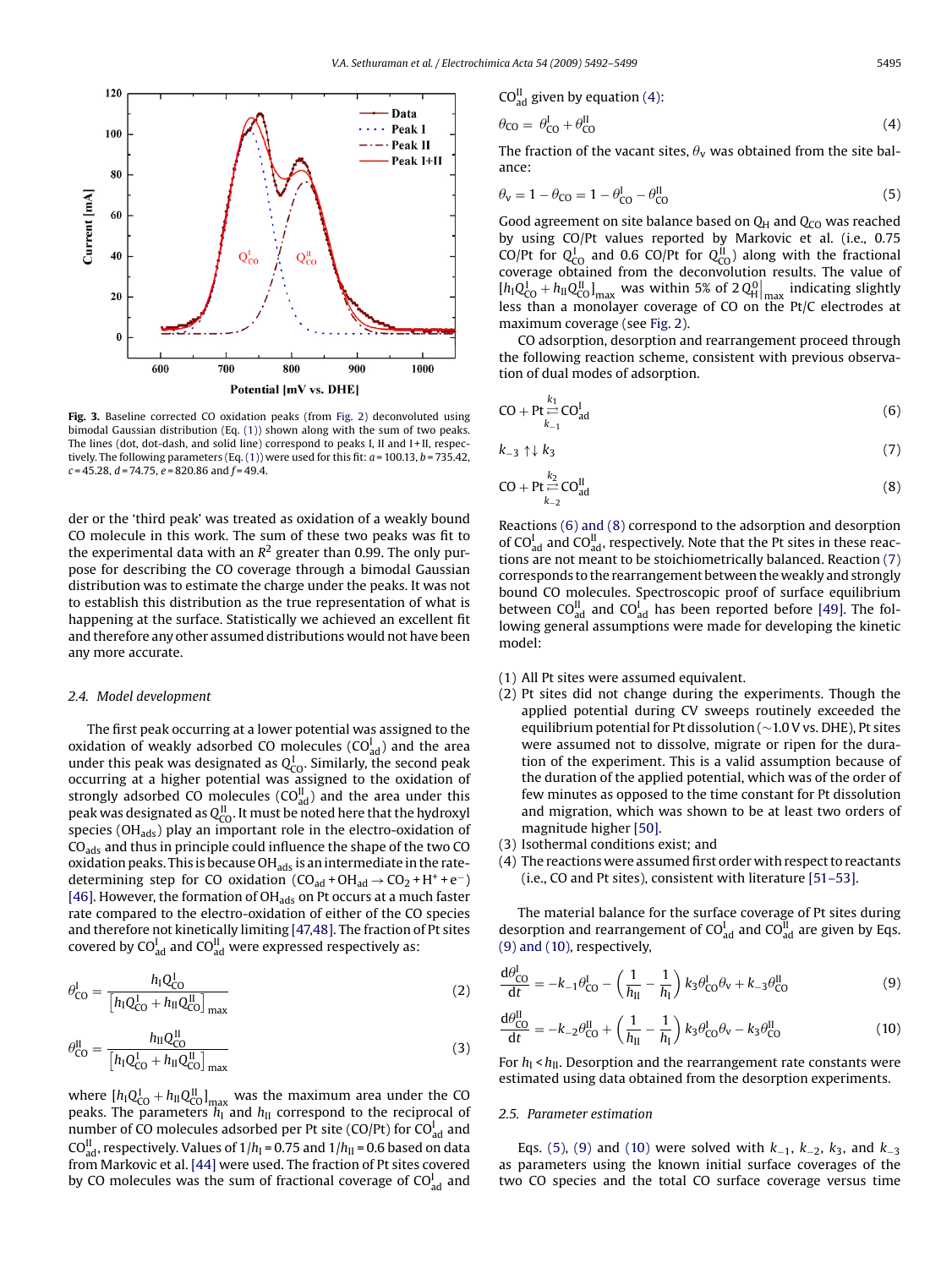<span id="page-3-0"></span>

Fig. 3. Baseline corrected CO oxidation peaks (from [Fig. 2\)](#page-2-0) deconvoluted using bimodal Gaussian distribution (Eq. [\(1\)\)](#page-2-0) shown along with the sum of two peaks. The lines (dot, dot-dash, and solid line) correspond to peaks I, II and I + II, respectively. The following parameters (Eq.  $(1)$ ) were used for this fit:  $a = 100.13$ ,  $b = 735.42$ , *c* = 45.28, *d* = 74.75, *e* = 820.86 and *f* = 49.4.

der or the 'third peak' was treated as oxidation of a weakly bound CO molecule in this work. The sum of these two peaks was fit to the experimental data with an  $R^2$  greater than 0.99. The only purpose for describing the CO coverage through a bimodal Gaussian distribution was to estimate the charge under the peaks. It was not to establish this distribution as the true representation of what is happening at the surface. Statistically we achieved an excellent fit and therefore any other assumed distributions would not have been any more accurate.

#### *2.4. Model development*

The first peak occurring at a lower potential was assigned to the oxidation of weakly adsorbed CO molecules  $(CO_{ad}^I)$  and the area under this peak was designated as  $Q_{\text{CO}}^{\text{I}}$ . Similarly, the second peak occurring at a higher potential was assigned to the oxidation of strongly adsorbed CO molecules (CO $_{ad}^{\text{II}}$ ) and the area under this peak was designated as  $Q^{\text{II}}_{\text{CO}}$ . It must be noted here that the hydroxyl species (OH<sub>ads</sub>) play an important role in the electro-oxidation of CO<sub>ads</sub> and thus in principle could influence the shape of the two CO oxidation peaks. This is because  $OH_{ads}$  is an intermediate in the ratedetermining step for CO oxidation ( $CO_{ad} + OH_{ad} \rightarrow CO_2 + H^+ + e^-$ ) [\[46\]. H](#page-7-0)owever, the formation of OH<sub>ads</sub> on Pt occurs at a much faster rate compared to the electro-oxidation of either of the CO species and therefore not kinetically limiting [\[47,48\]. T](#page-7-0)he fraction of Pt sites covered by CO $_{\text{ad}}^{\text{I}}$  and CO $_{\text{ad}}^{\text{II}}$  were expressed respectively as:

$$
\theta_{\rm CO}^{\rm I} = \frac{h_{\rm I} Q_{\rm CO}^{\rm I}}{\left[ h_{\rm I} Q_{\rm CO}^{\rm I} + h_{\rm II} Q_{\rm CO}^{\rm II} \right]_{\rm max}}\tag{2}
$$

$$
\theta_{\rm CO}^{\rm II} = \frac{h_{\rm II} Q_{\rm CO}^{\rm II}}{\left[ h_{\rm I} Q_{\rm CO}^{\rm I} + h_{\rm II} Q_{\rm CO}^{\rm II} \right]_{\rm max}}\tag{3}
$$

where  $[h_{\rm I}Q_{\rm CO}^{\rm I} + h_{\rm II}Q_{\rm CO}^{\rm II}]_{\rm max}$  was the maximum area under the CO peaks. The parameters *h*<sub>I</sub> and *h*<sub>II</sub> correspond to the reciprocal of number of CO molecules adsorbed per Pt site (CO/Pt) for CO $_{\text{ad}}^{\text{I}}$  and CO $_{\rm ad}^{\rm II}$ , respectively. Values of 1/h<sub>I</sub> = 0.75 and 1/h<sub>II</sub> = 0.6 based on data from Markovic et al. [\[44\]](#page-7-0) were used. The fraction of Pt sites covered by CO molecules was the sum of fractional coverage of  $\mathrm{CO}_\mathrm{ad}^\mathrm{I}$  and

$$
\theta_{\rm CO} = \theta_{\rm CO}^{\rm I} + \theta_{\rm CO}^{\rm II} \tag{4}
$$

The fraction of the vacant sites,  $\theta_{\rm v}$  was obtained from the site balance:

$$
\theta_{\rm V} = 1 - \theta_{\rm CO} = 1 - \theta_{\rm CO}^{\rm I} - \theta_{\rm CO}^{\rm II} \tag{5}
$$

Good agreement on site balance based on  $Q_H$  and  $Q_{CO}$  was reached by using CO/Pt values reported by Markovic et al. (i.e., 0.75 CO/Pt for  $Q_{\text{CO}}^{\text{I}}$  and 0.6 CO/Pt for  $Q_{\text{CO}}^{\text{II}}$  along with the fractional coverage obtained from the deconvolution results. The value of  $[h]Q_{\text{LO}}^{\text{I}} + h_{\text{II}}Q_{\text{U}}^{\text{II}}|_{\text{max}}$  was within 5% of 2 $Q_{\text{H}}^{\text{O}}|_{\text{max}}$  indicating slightly less than a monolayer coverage of CO on the Pt/C electrodes at maximum coverage (see [Fig. 2\).](#page-2-0)

CO adsorption, desorption and rearrangement proceed through the following reaction scheme, consistent with previous observation of dual modes of adsorption.

$$
CO + Pt \underset{k_{-1}}{\overset{k_1}{\rightleftharpoons}} CO_{ad}^I
$$
\n(6)

$$
k_{-3} \uparrow \downarrow k_3 \tag{7}
$$

$$
CO + Pt \stackrel{k_2}{\underset{k_{-2}}{\rightleftharpoons}} CO_{ad}^{II}
$$
 (8)

Reactions (6) and (8) correspond to the adsorption and desorption of  $CO<sup>I</sup><sub>ad</sub>$  and  $CO<sup>II</sup><sub>ad</sub>$ , respectively. Note that the Pt sites in these reactions are not meant to be stoichiometrically balanced. Reaction (7) corresponds to the rearrangement between the weakly and strongly bound CO molecules. Spectroscopic proof of surface equilibrium between  $CO_{ad}^{\text{II}}$  and  $CO_{ad}^{\text{I}}$  has been reported before [\[49\].](#page-7-0) The following general assumptions were made for developing the kinetic model:

- (1) All Pt sites were assumed equivalent.
- (2) Pt sites did not change during the experiments. Though the applied potential during CV sweeps routinely exceeded the equilibrium potential for Pt dissolution (∼1.0 V vs. DHE), Pt sites were assumed not to dissolve, migrate or ripen for the duration of the experiment. This is a valid assumption because of the duration of the applied potential, which was of the order of few minutes as opposed to the time constant for Pt dissolution and migration, which was shown to be at least two orders of magnitude higher [\[50\].](#page-7-0)
- (3) Isothermal conditions exist; and
- (4) The reactions were assumed first order with respect to reactants (i.e., CO and Pt sites), consistent with literature [\[51–53\].](#page-7-0)

The material balance for the surface coverage of Pt sites during desorption and rearrangement of  $CO<sub>ad</sub><sup>I</sup>$  and  $CO<sub>ad</sub><sup>II</sup>$  are given by Eqs. (9) and (10), respectively,

$$
\frac{\mathrm{d}\theta_{\mathrm{CO}}^{\mathrm{I}}}{\mathrm{d}t} = -k_{-1}\theta_{\mathrm{CO}}^{\mathrm{I}} - \left(\frac{1}{h_{\mathrm{II}}} - \frac{1}{h_{\mathrm{I}}}\right)k_{3}\theta_{\mathrm{CO}}^{\mathrm{I}}\theta_{\mathrm{V}} + k_{-3}\theta_{\mathrm{CO}}^{\mathrm{II}}\tag{9}
$$

$$
\frac{\mathrm{d}\theta_{\mathrm{CO}}^{\mathrm{II}}}{\mathrm{d}t} = -k_{-2}\theta_{\mathrm{CO}}^{\mathrm{II}} + \left(\frac{1}{h_{\mathrm{II}}} - \frac{1}{h_{\mathrm{I}}}\right)k_3\theta_{\mathrm{CO}}^{\mathrm{I}}\theta_{\mathrm{V}} - k_3\theta_{\mathrm{CO}}^{\mathrm{II}}\tag{10}
$$

For  $h_{\rm I}$  <  $h_{\rm II}$ . Desorption and the rearrangement rate constants were estimated using data obtained from the desorption experiments.

#### *2.5. Parameter estimation*

Eqs. (5), (9) and (10) were solved with *k*−1, *k*−2, *k*3, and *k*−<sup>3</sup> as parameters using the known initial surface coverages of the two CO species and the total CO surface coverage versus time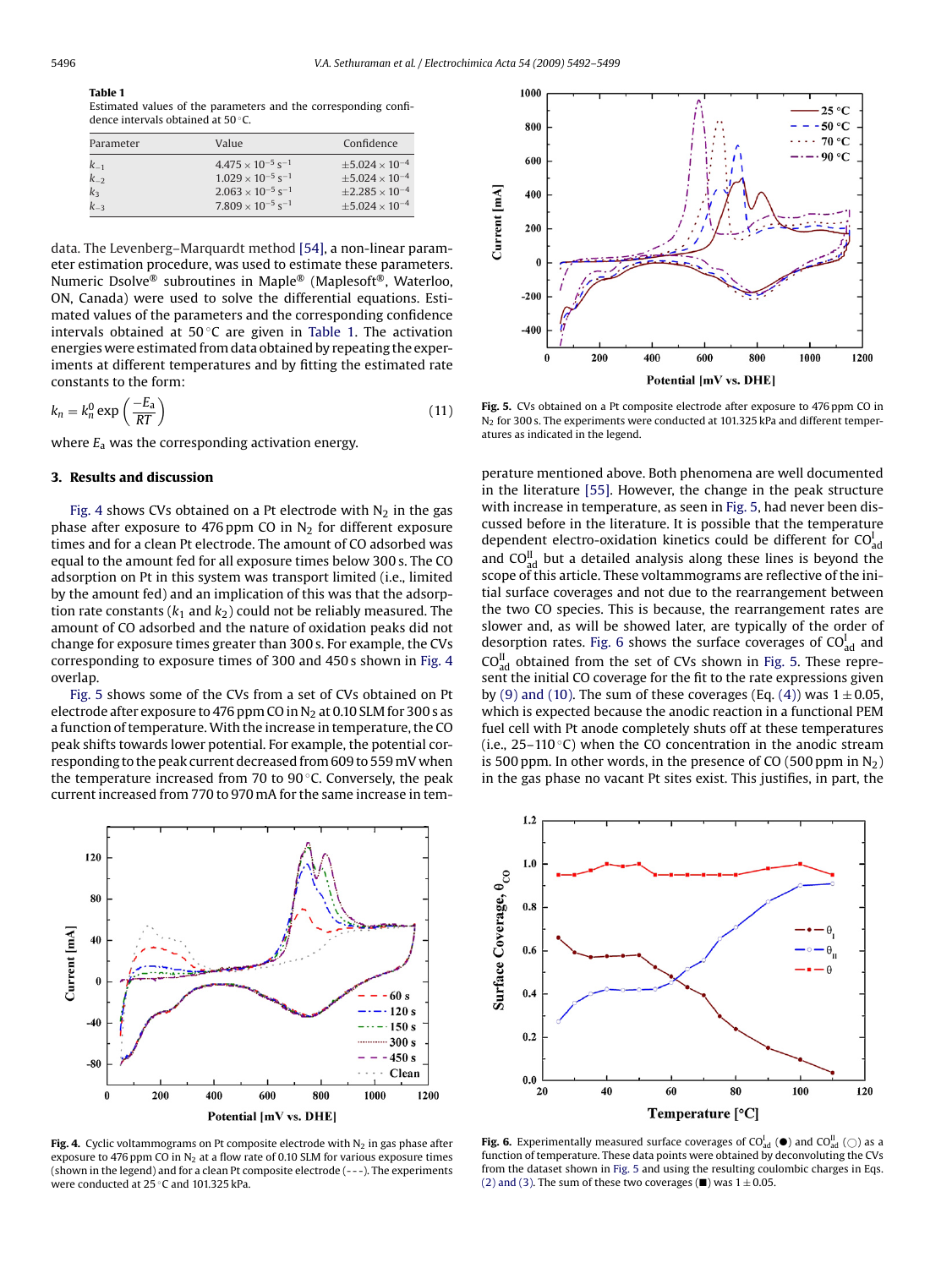# <span id="page-4-0"></span>**Table 1**

Estimated values of the parameters and the corresponding confidence intervals obtained at 50 ℃.

| Parameter            | Value                                                                            | Confidence                                               |
|----------------------|----------------------------------------------------------------------------------|----------------------------------------------------------|
| $k_{-1}$<br>$k_{-2}$ | $4.475 \times 10^{-5}$ s <sup>-1</sup><br>$1.029 \times 10^{-5}$ s <sup>-1</sup> | $\pm 5.024 \times 10^{-4}$<br>$\pm 5.024 \times 10^{-4}$ |
| $k_3$                | $2.063 \times 10^{-5}$ s <sup>-1</sup>                                           | $\pm 2.285 \times 10^{-4}$                               |
| $k_{-3}$             | $7.809 \times 10^{-5}$ s <sup>-1</sup>                                           | $\pm 5.024 \times 10^{-4}$                               |

data. The Levenberg–Marquardt method [\[54\], a](#page-7-0) non-linear parameter estimation procedure, was used to estimate these parameters. Numeric Dsolve® subroutines in Maple® (Maplesoft®, Waterloo, ON, Canada) were used to solve the differential equations. Estimated values of the parameters and the corresponding confidence intervals obtained at 50 $°C$  are given in Table 1. The activation energies were estimated from data obtained by repeating the experiments at different temperatures and by fitting the estimated rate constants to the form:

$$
k_n = k_n^0 \exp\left(\frac{-E_a}{RT}\right) \tag{11}
$$

where *E*<sup>a</sup> was the corresponding activation energy.

# **3. Results and discussion**

Fig. 4 shows CVs obtained on a Pt electrode with  $N_2$  in the gas phase after exposure to 476 ppm CO in  $N_2$  for different exposure times and for a clean Pt electrode. The amount of CO adsorbed was equal to the amount fed for all exposure times below 300 s. The CO adsorption on Pt in this system was transport limited (i.e., limited by the amount fed) and an implication of this was that the adsorption rate constants  $(k_1$  and  $k_2$ ) could not be reliably measured. The amount of CO adsorbed and the nature of oxidation peaks did not change for exposure times greater than 300 s. For example, the CVs corresponding to exposure times of 300 and 450 s shown in Fig. 4 overlap.

Fig. 5 shows some of the CVs from a set of CVs obtained on Pt electrode after exposure to 476 ppm CO in  $N_2$  at 0.10 SLM for 300 s as a function of temperature. With the increase in temperature, the CO peak shifts towards lower potential. For example, the potential corresponding to the peak current decreased from 609 to 559 mV when the temperature increased from 70 to 90 $\degree$ C. Conversely, the peak current increased from 770 to 970 mA for the same increase in tem-



Fig. 4. Cyclic voltammograms on Pt composite electrode with  $N_2$  in gas phase after exposure to 476 ppm CO in  $N_2$  at a flow rate of 0.10 SLM for various exposure times (shown in the legend) and for a clean Pt composite electrode (- - -). The experiments were conducted at 25 ◦C and 101.325 kPa.



**Fig. 5.** CVs obtained on a Pt composite electrode after exposure to 476 ppm CO in N<sub>2</sub> for 300 s. The experiments were conducted at 101.325 kPa and different temperatures as indicated in the legend.

perature mentioned above. Both phenomena are well documented in the literature [\[55\]. H](#page-7-0)owever, the change in the peak structure with increase in temperature, as seen in Fig. 5, had never been discussed before in the literature. It is possible that the temperature dependent electro-oxidation kinetics could be different for  $CO<sup>I</sup><sub>ad</sub>$ and  $CO_{ad}^{\text{II}}$  but a detailed analysis along these lines is beyond the scope of this article. These voltammograms are reflective of the initial surface coverages and not due to the rearrangement between the two CO species. This is because, the rearrangement rates are slower and, as will be showed later, are typically of the order of desorption rates. Fig. 6 shows the surface coverages of  $CO<sup>I</sup><sub>ad</sub>$  and  $CO<sup>II</sup><sub>ad</sub>$  obtained from the set of CVs shown in Fig. 5. These represent the initial CO coverage for the fit to the rate expressions given by [\(9\) and \(10\). T](#page-3-0)he sum of these coverages (Eq.  $(4)$ ) was  $1 \pm 0.05$ , which is expected because the anodic reaction in a functional PEM fuel cell with Pt anode completely shuts off at these temperatures (i.e.,  $25-110$  °C) when the CO concentration in the anodic stream is 500 ppm. In other words, in the presence of CO (500 ppm in  $N_2$ ) in the gas phase no vacant Pt sites exist. This justifies, in part, the



**Fig. 6.** Experimentally measured surface coverages of CO $_{\text{ad}}^{\text{I}}$  ( $\bullet$ ) and CO $_{\text{ad}}^{\text{II}}$  ( $\bigcirc$ ) as a function of temperature. These data points were obtained by deconvoluting the CVs from the dataset shown in Fig. 5 and using the resulting coulombic charges in Eqs. [\(2\) and \(3\). T](#page-3-0)he sum of these two coverages ( $\blacksquare$ ) was  $1 \pm 0.05$ .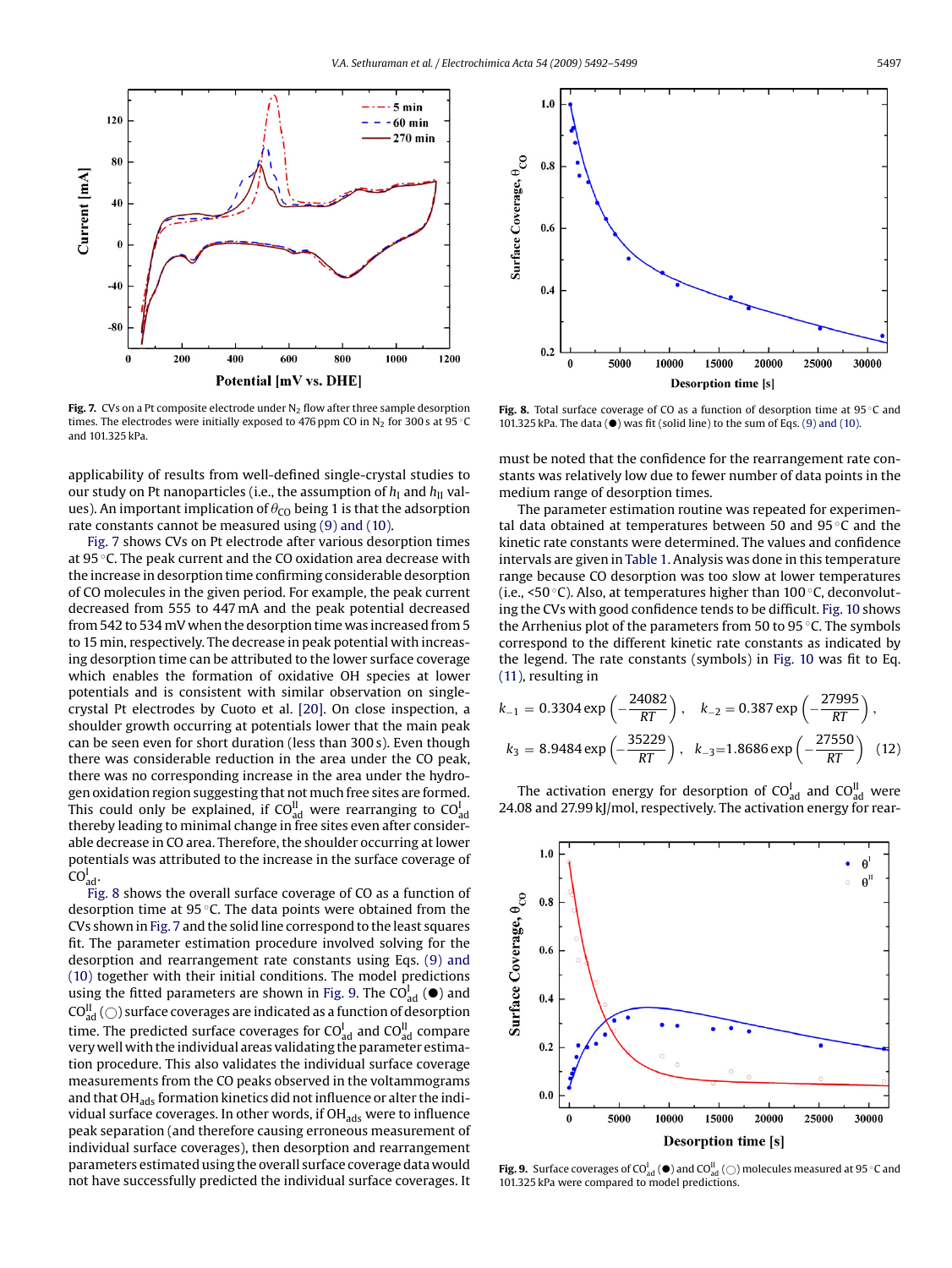<span id="page-5-0"></span>

**Fig. 7.** CVs on a Pt composite electrode under  $N<sub>2</sub>$  flow after three sample desorption times. The electrodes were initially exposed to 476 ppm CO in  $N_2$  for 300 s at 95 °C and 101.325 kPa.

applicability of results from well-defined single-crystal studies to our study on Pt nanoparticles (i.e., the assumption of  $h<sub>I</sub>$  and  $h<sub>II</sub>$  values). An important implication of  $\theta_{\text{CO}}$  being 1 is that the adsorption rate constants cannot be measured using [\(9\) and \(10\).](#page-3-0)

Fig. 7 shows CVs on Pt electrode after various desorption times at 95 ◦C. The peak current and the CO oxidation area decrease with the increase in desorption time confirming considerable desorption of CO molecules in the given period. For example, the peak current decreased from 555 to 447 mA and the peak potential decreased from 542 to 534 mV when the desorption time was increased from 5 to 15 min, respectively. The decrease in peak potential with increasing desorption time can be attributed to the lower surface coverage which enables the formation of oxidative OH species at lower potentials and is consistent with similar observation on singlecrystal Pt electrodes by Cuoto et al. [\[20\].](#page-7-0) On close inspection, a shoulder growth occurring at potentials lower that the main peak can be seen even for short duration (less than 300 s). Even though there was considerable reduction in the area under the CO peak, there was no corresponding increase in the area under the hydrogen oxidation region suggesting that not much free sites are formed. This could only be explained, if  $\mathrm{CO}_\mathrm{ad}^\mathrm{I}$  were rearranging to  $\mathrm{CO}_\mathrm{ad}^\mathrm{I}$ thereby leading to minimal change in free sites even after considerable decrease in CO area. Therefore, the shoulder occurring at lower potentials was attributed to the increase in the surface coverage of  $CO_{ad}^I$ .

Fig. 8 shows the overall surface coverage of CO as a function of desorption time at 95 ◦C. The data points were obtained from the CVs shown in Fig. 7 and the solid line correspond to the least squares fit. The parameter estimation procedure involved solving for the desorption and rearrangement rate constants using Eqs. [\(9\) and](#page-3-0) [\(10\)](#page-3-0) together with their initial conditions. The model predictions using the fitted parameters are shown in Fig. 9. The CO $_{ad}^{I}$  ( $\bullet$ ) and  $\text{CO}_\text{ad}^\text{II}$  ( $\odot$ ) surface coverages are indicated as a function of desorption time. The predicted surface coverages for CO $_{\rm ad}^{\rm I}$  and CO $_{\rm ad}^{\rm II}$  compare very well with the individual areas validating the parameter estimation procedure. This also validates the individual surface coverage measurements from the CO peaks observed in the voltammograms and that OH<sub>ads</sub> formation kinetics did not influence or alter the individual surface coverages. In other words, if  $OH<sub>ads</sub>$  were to influence peak separation (and therefore causing erroneous measurement of individual surface coverages), then desorption and rearrangement parameters estimated using the overall surface coverage data would not have successfully predicted the individual surface coverages. It



**Fig. 8.** Total surface coverage of CO as a function of desorption time at 95 ◦C and 101.325 kPa. The data  $(\bullet)$  was fit (solid line) to the sum of Eqs. [\(9\) and \(10\).](#page-3-0)

must be noted that the confidence for the rearrangement rate constants was relatively low due to fewer number of data points in the medium range of desorption times.

The parameter estimation routine was repeated for experimental data obtained at temperatures between 50 and 95 ◦C and the kinetic rate constants were determined. The values and confidence intervals are given in [Table 1. A](#page-4-0)nalysis was done in this temperature range because CO desorption was too slow at lower temperatures (i.e., <50 ◦C). Also, at temperatures higher than 100 ◦C, deconvoluting the CVs with good confidence tends to be difficult. [Fig. 10](#page-6-0) shows the Arrhenius plot of the parameters from 50 to 95 ◦C. The symbols correspond to the different kinetic rate constants as indicated by the legend. The rate constants (symbols) in [Fig. 10](#page-6-0) was fit to Eq. [\(11\), r](#page-4-0)esulting in

$$
k_{-1} = 0.3304 \exp\left(-\frac{24082}{RT}\right), \quad k_{-2} = 0.387 \exp\left(-\frac{27995}{RT}\right),
$$
\n
$$
k_3 = 8.9484 \exp\left(-\frac{35229}{RT}\right), \quad k_{-3} = 1.8686 \exp\left(-\frac{27550}{RT}\right) \quad (12)
$$

The activation energy for desorption of  $CO_{ad}^I$  and  $CO_{ad}^{\text{II}}$  were 24.08 and 27.99 kJ/mol, respectively. The activation energy for rear-



**Fig. 9.** Surface coverages of CO $_{ad}^{I}$  ( $\bullet$ ) and CO $_{ad}^{II}$  ( $\bigcirc$ ) molecules measured at 95 °C and 101.325 kPa were compared to model predictions.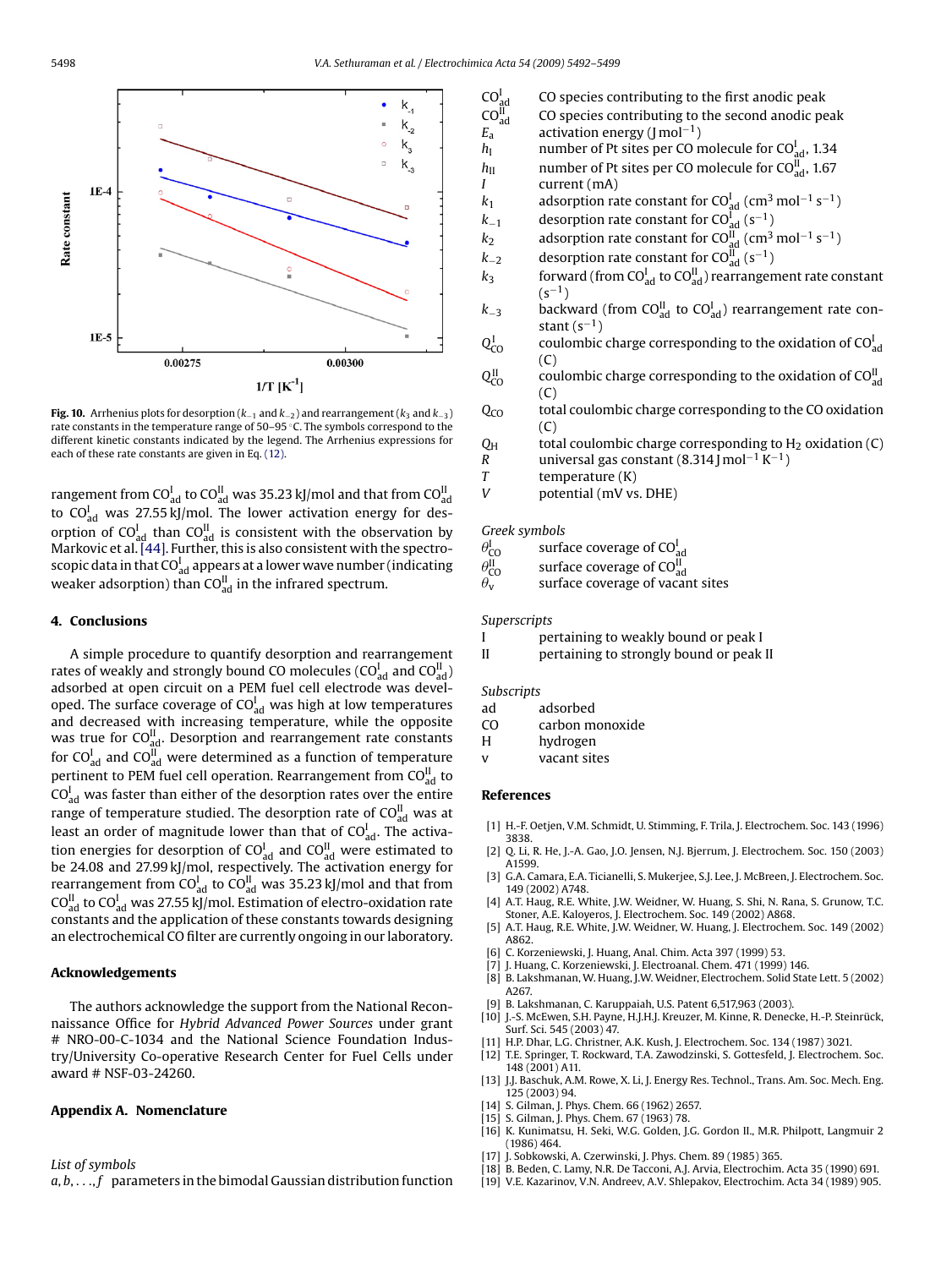<span id="page-6-0"></span>

**Fig. 10.** Arrhenius plots for desorption ( $k_{-1}$  and  $k_{-2}$ ) and rearrangement ( $k_3$  and  $k_{-3}$ ) rate constants in the temperature range of 50–95 ◦C. The symbols correspond to the different kinetic constants indicated by the legend. The Arrhenius expressions for each of these rate constants are given in Eq. [\(12\).](#page-5-0)

rangement from CO $_{\mathrm{ad}}^{\mathrm{I}}$  to CO $_{\mathrm{ad}}^{\mathrm{II}}$  was 35.23 kJ/mol and that from CO $_{\mathrm{ad}}^{\mathrm{II}}$ to CO $_{\text{ad}}^{\text{I}}$  was 27.55 kJ/mol. The lower activation energy for desorption of CO $_{\rm ad}^{\rm I}$  than CO $_{\rm ad}^{\rm II}$  is consistent with the observation by Markovic et al. [\[44\]. F](#page-7-0)urther, this is also consistent with the spectroscopic data in that CO $_{\rm ad}^{\rm I}$  appears at a lower wave number (indicating weaker adsorption) than CO $_{\rm ad}^{\rm II}$  in the infrared spectrum.

## **4. Conclusions**

A simple procedure to quantify desorption and rearrangement rates of weakly and strongly bound CO molecules (CO $_{\rm ad}^{\rm I}$  and CO $_{\rm ad}^{\rm II}$  ) adsorbed at open circuit on a PEM fuel cell electrode was developed. The surface coverage of CO $_{\rm ad}^{\rm I}$  was high at low temperatures and decreased with increasing temperature, while the opposite was true for  $\text{CO}_{\text{ad}}^\text{II}$ . Desorption and rearrangement rate constants for CO $_{\rm ad}^{\rm I}$  and CO $_{\rm ad}^{\rm II}$  were determined as a function of temperature pertinent to PEM fuel cell operation. Rearrangement from CO $_{\rm ad}^{\rm II}$  to  $CO<sup>I</sup><sub>ad</sub>$  was faster than either of the desorption rates over the entire range of temperature studied. The desorption rate of CO $_{\mathrm{ad}}^{\mathrm{II}}$  was at least an order of magnitude lower than that of CO $_{\rm ad}^{\rm I}$ . The activation energies for desorption of CO $_{\rm ad}^{\rm I}$  and CO $_{\rm ad}^{\rm II}$  were estimated to be 24.08 and 27.99 kJ/mol, respectively. The activation energy for rearrangement from CO $_{\rm ad}^{\rm I}$  to CO $_{\rm ad}^{\rm II}$  was 35.23 kJ/mol and that from CO $_{\mathrm{ad}}^{\mathrm{II}}$  to CO $_{\mathrm{ad}}^{\mathrm{I}}$  was 27.55 kJ/mol. Estimation of electro-oxidation rate constants and the application of these constants towards designing an electrochemical CO filter are currently ongoing in our laboratory.

#### **Acknowledgements**

The authors acknowledge the support from the National Reconnaissance Office for *Hybrid Advanced Power Sources* under grant # NRO-00-C-1034 and the National Science Foundation Industry/University Co-operative Research Center for Fuel Cells under award # NSF-03-24260.

#### **Appendix A. Nomenclature**

*List of symbols*

 $a, b, \ldots, f$  parameters in the bimodal Gaussian distribution function

- $CO<sub>ad</sub><sup>I</sup>$ CO species contributing to the first anodic peak  $CO_{ad}^{II}$ CO species contributing to the second anodic peak *E*<sub>a</sub> activation energy (J mol<sup>-1</sup>)<br>*h*<sub>1</sub> mumber of Pt sites per CO n  $h_{\rm I}$  number of Pt sites per CO molecule for CO $_{\rm ad}^{\rm I}$ , 1.34  $h_{\text{II}}$  number of Pt sites per CO molecule for CO $_{\text{ad}}^{\text{II}}$ , 1.67
- *I* current (mA)  $k_1$  adsorption rate constant for CO $_{ad}^{\text{I}}$  (cm<sup>3</sup> mol<sup>-1</sup> s<sup>-1</sup>)
- $k_{-1}$  desorption rate constant for CO $_{ad}^{I}$  (s<sup>-1</sup>)
- $k_2$  adsorption rate constant for CO $_{ad}^{\text{II}}$  (cm<sup>3</sup> mol<sup>-1</sup> s<sup>-1</sup>)
- $k_{-2}$  desorption rate constant for CO $_{ad}^{II}$  (s<sup>-1</sup>)
- $k_3$  forward (from CO $_{\text{ad}}^{\text{I}}$  to CO $_{\text{ad}}^{\text{II}}$ ) rearrangement rate constant  $(s^{-1})$
- $k_{-3}$  backward (from CO $_{ad}^{\text{II}}$  to CO $_{ad}^{\text{I}}$ ) rearrangement rate constant  $(s^{-1})$
- $Q_{\text{CO}}^{\text{I}}$  $\rm_{CO}^{I}$  coulombic charge corresponding to the oxidation of CO $\rm_{ad}^{I}$  $\Gamma$
- $Q_{\text{CO}}^{\text{II}}$  $\frac{11}{20}$  coulombic charge corresponding to the oxidation of CO $\frac{11}{20}$  $(C)$
- $Q<sub>CO</sub>$  total coulombic charge corresponding to the CO oxidation  $(C)$
- $Q_H$  total coulombic charge corresponding to H<sub>2</sub> oxidation (C)<br>
R universal gas constant (8.314 | mol<sup>-1</sup> K<sup>-1</sup>) *R* universal gas constant (8.314 J mol−<sup>1</sup> K−1)
- *T* temperature (K)<br>*V* potential (mV vs
- potential (mV vs. DHE)

## *Greek symbols*

 $\theta^{\rm I}$  $_{\rm CO}^{\rm I}$  surface coverage of CO $_{\rm ad}^{\rm I}$ 

 $\theta_-^{\text{II}}$  $\frac{dI}{dO}$  surface coverage of CO $\frac{dI}{dO}$ 

 $\theta_{\rm v}$ surface coverage of vacant sites

#### *Superscripts*

I pertaining to weakly bound or peak I

II pertaining to strongly bound or peak II

*Subscripts*

- ad adsorbed
- CO carbon monoxide
- H hydrogen
- v vacant sites

# **References**

- [1] H.-F. Oetjen, V.M. Schmidt, U. Stimming, F. Trila, J. Electrochem. Soc. 143 (1996) 3838.
- [2] Q. Li, R. He, J.-A. Gao, J.O. Jensen, N.J. Bjerrum, J. Electrochem. Soc. 150 (2003) A1599.
- [3] G.A. Camara, E.A. Ticianelli, S. Mukerjee, S.J. Lee, J. McBreen, J. Electrochem. Soc. 149 (2002) A748.
- [4] A.T. Haug, R.E. White, J.W. Weidner, W. Huang, S. Shi, N. Rana, S. Grunow, T.C. Stoner, A.E. Kaloyeros, J. Electrochem. Soc. 149 (2002) A868.
- [5] A.T. Haug, R.E. White, J.W. Weidner, W. Huang, J. Electrochem. Soc. 149 (2002) A862.
- [6] C. Korzeniewski, J. Huang, Anal. Chim. Acta 397 (1999) 53.
- [7] J. Huang, C. Korzeniewski, J. Electroanal. Chem. 471 (1999) 146.
- [8] B. Lakshmanan, W. Huang, J.W. Weidner, Electrochem. Solid State Lett. 5 (2002) A267.
- [9] B. Lakshmanan, C. Karuppaiah, U.S. Patent 6,517,963 (2003).
- [10] J.-S. McEwen, S.H. Payne, H.J.H.J. Kreuzer, M. Kinne, R. Denecke, H.-P. Steinrück, Surf. Sci. 545 (2003) 47.
- H.P. Dhar, L.G. Christner, A.K. Kush, J. Electrochem. Soc. 134 (1987) 3021.
- [12] T.E. Springer, T. Rockward, T.A. Zawodzinski, S. Gottesfeld, J. Electrochem. Soc. 148 (2001) A11.
- [13] J.J. Baschuk, A.M. Rowe, X. Li, J. Energy Res. Technol., Trans. Am. Soc. Mech. Eng. 125 (2003) 94.
- [14] S. Gilman, J. Phys. Chem. 66 (1962) 2657.
- [15] S. Gilman, J. Phys. Chem. 67 (1963) 78.
- [16] K. Kunimatsu, H. Seki, W.G. Golden, J.G. Gordon II., M.R. Philpott, Langmuir 2 (1986) 464.
- [17] J. Sobkowski, A. Czerwinski, J. Phys. Chem. 89 (1985) 365.
- [18] B. Beden, C. Lamy, N.R. De Tacconi, A.J. Arvia, Electrochim. Acta 35 (1990) 691.
- [19] V.E. Kazarinov, V.N. Andreev, A.V. Shlepakov, Electrochim. Acta 34 (1989) 905.